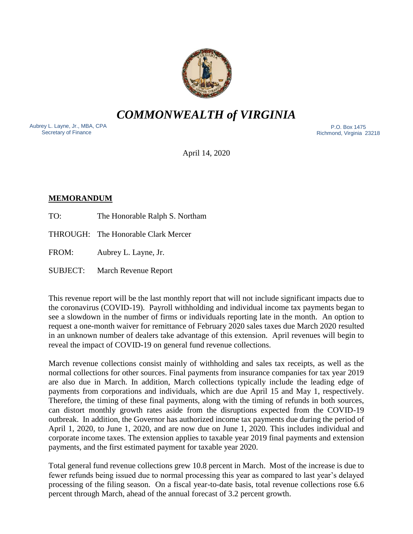

*COMMONWEALTH of VIRGINIA*

Aubrey L. Layne, Jr., MBA, CPA Secretary of Finance

 P.O. Box 1475 Richmond, Virginia 23218

April 14, 2020

### **MEMORANDUM**

TO: The Honorable Ralph S. Northam

THROUGH: The Honorable Clark Mercer

FROM: Aubrey L. Layne, Jr.

SUBJECT: March Revenue Report

This revenue report will be the last monthly report that will not include significant impacts due to the coronavirus (COVID-19). Payroll withholding and individual income tax payments began to see a slowdown in the number of firms or individuals reporting late in the month. An option to request a one-month waiver for remittance of February 2020 sales taxes due March 2020 resulted in an unknown number of dealers take advantage of this extension. April revenues will begin to reveal the impact of COVID-19 on general fund revenue collections.

March revenue collections consist mainly of withholding and sales tax receipts, as well as the normal collections for other sources. Final payments from insurance companies for tax year 2019 are also due in March. In addition, March collections typically include the leading edge of payments from corporations and individuals, which are due April 15 and May 1, respectively. Therefore, the timing of these final payments, along with the timing of refunds in both sources, can distort monthly growth rates aside from the disruptions expected from the COVID-19 outbreak. In addition, the Governor has authorized income tax payments due during the period of April 1, 2020, to June 1, 2020, and are now due on June 1, 2020. This includes individual and corporate income taxes. The extension applies to taxable year 2019 final payments and extension payments, and the first estimated payment for taxable year 2020.

Total general fund revenue collections grew 10.8 percent in March. Most of the increase is due to fewer refunds being issued due to normal processing this year as compared to last year's delayed processing of the filing season. On a fiscal year-to-date basis, total revenue collections rose 6.6 percent through March, ahead of the annual forecast of 3.2 percent growth.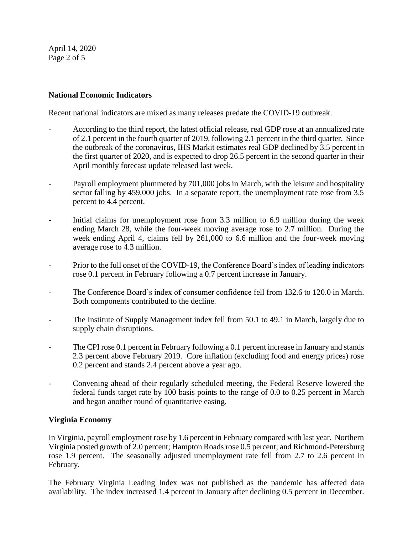April 14, 2020 Page 2 of 5

## **National Economic Indicators**

Recent national indicators are mixed as many releases predate the COVID-19 outbreak.

- According to the third report, the latest official release, real GDP rose at an annualized rate of 2.1 percent in the fourth quarter of 2019, following 2.1 percent in the third quarter. Since the outbreak of the coronavirus, IHS Markit estimates real GDP declined by 3.5 percent in the first quarter of 2020, and is expected to drop 26.5 percent in the second quarter in their April monthly forecast update released last week.
- Payroll employment plummeted by 701,000 jobs in March, with the leisure and hospitality sector falling by 459,000 jobs. In a separate report, the unemployment rate rose from 3.5 percent to 4.4 percent.
- Initial claims for unemployment rose from 3.3 million to 6.9 million during the week ending March 28, while the four-week moving average rose to 2.7 million. During the week ending April 4, claims fell by 261,000 to 6.6 million and the four-week moving average rose to 4.3 million.
- Prior to the full onset of the COVID-19, the Conference Board's index of leading indicators rose 0.1 percent in February following a 0.7 percent increase in January.
- The Conference Board's index of consumer confidence fell from 132.6 to 120.0 in March. Both components contributed to the decline.
- The Institute of Supply Management index fell from 50.1 to 49.1 in March, largely due to supply chain disruptions.
- The CPI rose 0.1 percent in February following a 0.1 percent increase in January and stands 2.3 percent above February 2019. Core inflation (excluding food and energy prices) rose 0.2 percent and stands 2.4 percent above a year ago.
- Convening ahead of their regularly scheduled meeting, the Federal Reserve lowered the federal funds target rate by 100 basis points to the range of 0.0 to 0.25 percent in March and began another round of quantitative easing.

# **Virginia Economy**

In Virginia, payroll employment rose by 1.6 percent in February compared with last year. Northern Virginia posted growth of 2.0 percent; Hampton Roads rose 0.5 percent; and Richmond-Petersburg rose 1.9 percent. The seasonally adjusted unemployment rate fell from 2.7 to 2.6 percent in February.

The February Virginia Leading Index was not published as the pandemic has affected data availability. The index increased 1.4 percent in January after declining 0.5 percent in December.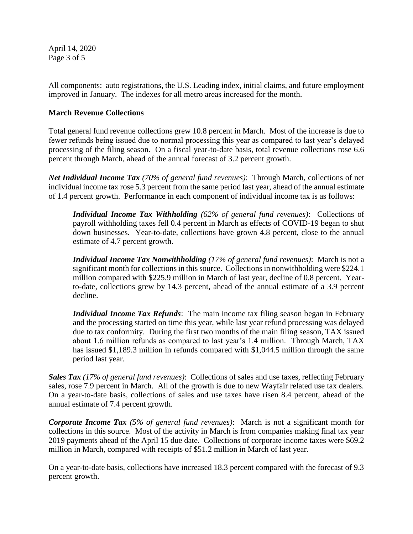April 14, 2020 Page 3 of 5

All components: auto registrations, the U.S. Leading index, initial claims, and future employment improved in January. The indexes for all metro areas increased for the month.

### **March Revenue Collections**

Total general fund revenue collections grew 10.8 percent in March. Most of the increase is due to fewer refunds being issued due to normal processing this year as compared to last year's delayed processing of the filing season. On a fiscal year-to-date basis, total revenue collections rose 6.6 percent through March, ahead of the annual forecast of 3.2 percent growth.

*Net Individual Income Tax (70% of general fund revenues)*: Through March, collections of net individual income tax rose 5.3 percent from the same period last year, ahead of the annual estimate of 1.4 percent growth. Performance in each component of individual income tax is as follows:

*Individual Income Tax Withholding (62% of general fund revenues)*: Collections of payroll withholding taxes fell 0.4 percent in March as effects of COVID-19 began to shut down businesses. Year-to-date, collections have grown 4.8 percent, close to the annual estimate of 4.7 percent growth.

*Individual Income Tax Nonwithholding (17% of general fund revenues)*: March is not a significant month for collections in this source. Collections in nonwithholding were \$224.1 million compared with \$225.9 million in March of last year, decline of 0.8 percent. Yearto-date, collections grew by 14.3 percent, ahead of the annual estimate of a 3.9 percent decline.

*Individual Income Tax Refunds*: The main income tax filing season began in February and the processing started on time this year, while last year refund processing was delayed due to tax conformity. During the first two months of the main filing season, TAX issued about 1.6 million refunds as compared to last year's 1.4 million. Through March, TAX has issued \$1,189.3 million in refunds compared with \$1,044.5 million through the same period last year.

*Sales Tax (17% of general fund revenues)*: Collections of sales and use taxes, reflecting February sales, rose 7.9 percent in March. All of the growth is due to new Wayfair related use tax dealers. On a year-to-date basis, collections of sales and use taxes have risen 8.4 percent, ahead of the annual estimate of 7.4 percent growth.

*Corporate Income Tax (5% of general fund revenues)*: March is not a significant month for collections in this source. Most of the activity in March is from companies making final tax year 2019 payments ahead of the April 15 due date. Collections of corporate income taxes were \$69.2 million in March, compared with receipts of \$51.2 million in March of last year.

On a year-to-date basis, collections have increased 18.3 percent compared with the forecast of 9.3 percent growth.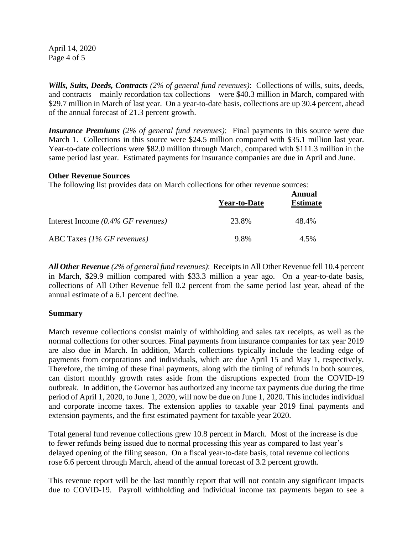April 14, 2020 Page 4 of 5

*Wills, Suits, Deeds, Contracts (2% of general fund revenues)*: Collections of wills, suits, deeds, and contracts – mainly recordation tax collections – were \$40.3 million in March, compared with \$29.7 million in March of last year. On a year-to-date basis, collections are up 30.4 percent, ahead of the annual forecast of 21.3 percent growth.

*Insurance Premiums (2% of general fund revenues)*: Final payments in this source were due March 1. Collections in this source were \$24.5 million compared with \$35.1 million last year. Year-to-date collections were \$82.0 million through March, compared with \$111.3 million in the same period last year. Estimated payments for insurance companies are due in April and June.

#### **Other Revenue Sources**

The following list provides data on March collections for other revenue sources:

|                                       | <b>Year-to-Date</b> | Annual<br><b>Estimate</b> |
|---------------------------------------|---------------------|---------------------------|
| Interest Income $(0.4\%$ GF revenues) | 23.8%               | 48.4%                     |
| ABC Taxes $(1\%$ GF revenues)         | 9.8%                | 4.5%                      |

*All Other Revenue (2% of general fund revenues)*: Receipts in All Other Revenue fell 10.4 percent in March, \$29.9 million compared with \$33.3 million a year ago. On a year-to-date basis, collections of All Other Revenue fell 0.2 percent from the same period last year, ahead of the annual estimate of a 6.1 percent decline.

#### **Summary**

March revenue collections consist mainly of withholding and sales tax receipts, as well as the normal collections for other sources. Final payments from insurance companies for tax year 2019 are also due in March. In addition, March collections typically include the leading edge of payments from corporations and individuals, which are due April 15 and May 1, respectively. Therefore, the timing of these final payments, along with the timing of refunds in both sources, can distort monthly growth rates aside from the disruptions expected from the COVID-19 outbreak. In addition, the Governor has authorized any income tax payments due during the time period of April 1, 2020, to June 1, 2020, will now be due on June 1, 2020. This includes individual and corporate income taxes. The extension applies to taxable year 2019 final payments and extension payments, and the first estimated payment for taxable year 2020.

Total general fund revenue collections grew 10.8 percent in March. Most of the increase is due to fewer refunds being issued due to normal processing this year as compared to last year's delayed opening of the filing season. On a fiscal year-to-date basis, total revenue collections rose 6.6 percent through March, ahead of the annual forecast of 3.2 percent growth.

This revenue report will be the last monthly report that will not contain any significant impacts due to COVID-19. Payroll withholding and individual income tax payments began to see a